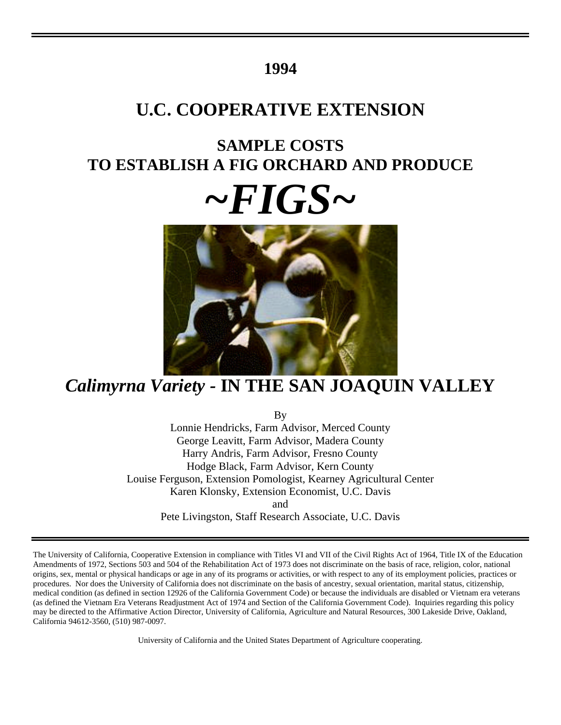# **1994**

# **U.C. COOPERATIVE EXTENSION**

# **SAMPLE COSTS TO ESTABLISH A FIG ORCHARD AND PRODUCE**

# *~FIGS~*



# *Calimyrna Variety -* **IN THE SAN JOAQUIN VALLEY**

By

Lonnie Hendricks, Farm Advisor, Merced County George Leavitt, Farm Advisor, Madera County Harry Andris, Farm Advisor, Fresno County Hodge Black, Farm Advisor, Kern County Louise Ferguson, Extension Pomologist, Kearney Agricultural Center Karen Klonsky, Extension Economist, U.C. Davis and Pete Livingston, Staff Research Associate, U.C. Davis

The University of California, Cooperative Extension in compliance with Titles VI and VII of the Civil Rights Act of 1964, Title IX of the Education Amendments of 1972, Sections 503 and 504 of the Rehabilitation Act of 1973 does not discriminate on the basis of race, religion, color, national origins, sex, mental or physical handicaps or age in any of its programs or activities, or with respect to any of its employment policies, practices or procedures. Nor does the University of California does not discriminate on the basis of ancestry, sexual orientation, marital status, citizenship, medical condition (as defined in section 12926 of the California Government Code) or because the individuals are disabled or Vietnam era veterans (as defined the Vietnam Era Veterans Readjustment Act of 1974 and Section of the California Government Code). Inquiries regarding this policy may be directed to the Affirmative Action Director, University of California, Agriculture and Natural Resources, 300 Lakeside Drive, Oakland, California 94612-3560, (510) 987-0097.

University of California and the United States Department of Agriculture cooperating.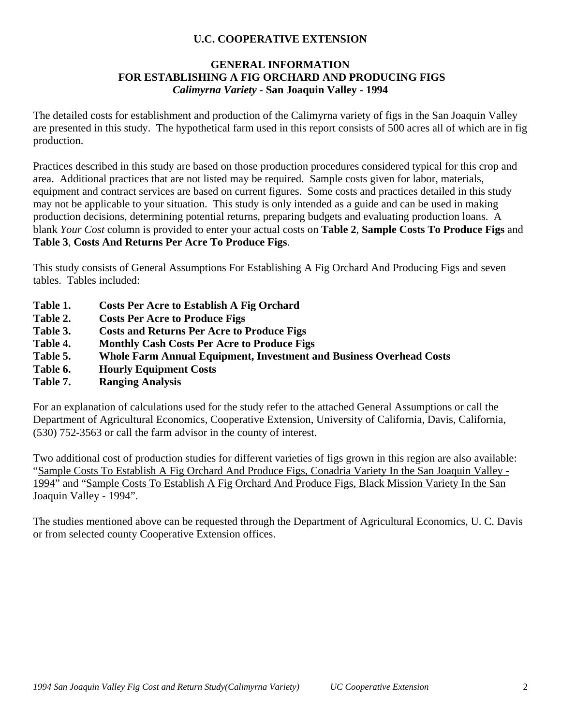# **U.C. COOPERATIVE EXTENSION**

# **GENERAL INFORMATION FOR ESTABLISHING A FIG ORCHARD AND PRODUCING FIGS** *Calimyrna Variety -* **San Joaquin Valley - 1994**

The detailed costs for establishment and production of the Calimyrna variety of figs in the San Joaquin Valley are presented in this study. The hypothetical farm used in this report consists of 500 acres all of which are in fig production.

Practices described in this study are based on those production procedures considered typical for this crop and area. Additional practices that are not listed may be required. Sample costs given for labor, materials, equipment and contract services are based on current figures. Some costs and practices detailed in this study may not be applicable to your situation. This study is only intended as a guide and can be used in making production decisions, determining potential returns, preparing budgets and evaluating production loans. A blank *Your Cost* column is provided to enter your actual costs on **Table 2**, **Sample Costs To Produce Figs** and **Table 3**, **Costs And Returns Per Acre To Produce Figs**.

This study consists of General Assumptions For Establishing A Fig Orchard And Producing Figs and seven tables. Tables included:

- **Table 1. Costs Per Acre to Establish A Fig Orchard**
- **Table 2. Costs Per Acre to Produce Figs**
- **Table 3. Costs and Returns Per Acre to Produce Figs**
- **Table 4. Monthly Cash Costs Per Acre to Produce Figs**
- **Table 5. Whole Farm Annual Equipment, Investment and Business Overhead Costs**
- **Table 6. Hourly Equipment Costs**
- **Table 7. Ranging Analysis**

For an explanation of calculations used for the study refer to the attached General Assumptions or call the Department of Agricultural Economics, Cooperative Extension, University of California, Davis, California, (530) 752-3563 or call the farm advisor in the county of interest.

Two additional cost of production studies for different varieties of figs grown in this region are also available: "Sample Costs To Establish A Fig Orchard And Produce Figs, Conadria Variety In the San Joaquin Valley - 1994" and "Sample Costs To Establish A Fig Orchard And Produce Figs, Black Mission Variety In the San Joaquin Valley - 1994".

The studies mentioned above can be requested through the Department of Agricultural Economics, U. C. Davis or from selected county Cooperative Extension offices.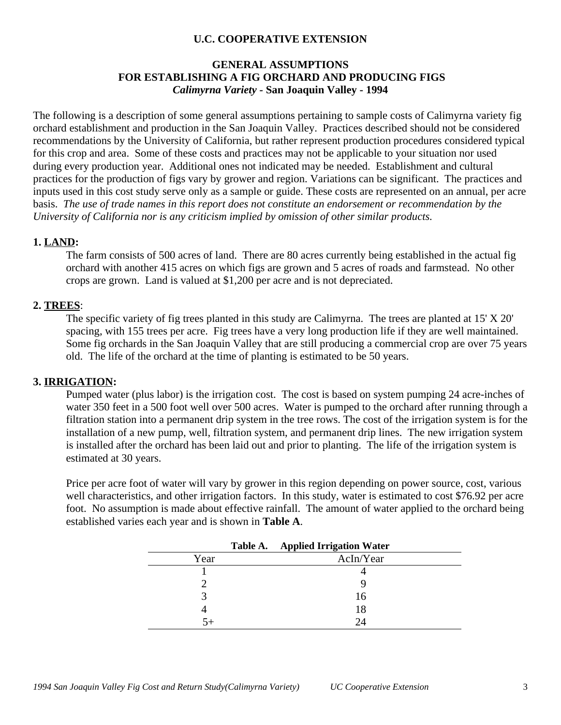# **U.C. COOPERATIVE EXTENSION**

## **GENERAL ASSUMPTIONS FOR ESTABLISHING A FIG ORCHARD AND PRODUCING FIGS** *Calimyrna Variety -* **San Joaquin Valley - 1994**

The following is a description of some general assumptions pertaining to sample costs of Calimyrna variety fig orchard establishment and production in the San Joaquin Valley. Practices described should not be considered recommendations by the University of California, but rather represent production procedures considered typical for this crop and area. Some of these costs and practices may not be applicable to your situation nor used during every production year. Additional ones not indicated may be needed.Establishment and cultural practices for the production of figs vary by grower and region. Variations can be significant. The practices and inputs used in this cost study serve only as a sample or guide. These costs are represented on an annual, per acre basis. *The use of trade names in this report does not constitute an endorsement or recommendation by the University of California nor is any criticism implied by omission of other similar products.*

#### **1. LAND:**

The farm consists of 500 acres of land. There are 80 acres currently being established in the actual fig orchard with another 415 acres on which figs are grown and 5 acres of roads and farmstead. No other crops are grown. Land is valued at \$1,200 per acre and is not depreciated.

#### **2. TREES**:

The specific variety of fig trees planted in this study are Calimyrna. The trees are planted at 15' X 20' spacing, with 155 trees per acre. Fig trees have a very long production life if they are well maintained. Some fig orchards in the San Joaquin Valley that are still producing a commercial crop are over 75 years old. The life of the orchard at the time of planting is estimated to be 50 years.

#### **3. IRRIGATION:**

Pumped water (plus labor) is the irrigation cost. The cost is based on system pumping 24 acre-inches of water 350 feet in a 500 foot well over 500 acres. Water is pumped to the orchard after running through a filtration station into a permanent drip system in the tree rows. The cost of the irrigation system is for the installation of a new pump, well, filtration system, and permanent drip lines. The new irrigation system is installed after the orchard has been laid out and prior to planting. The life of the irrigation system is estimated at 30 years.

Price per acre foot of water will vary by grower in this region depending on power source, cost, various well characteristics, and other irrigation factors. In this study, water is estimated to cost \$76.92 per acre foot. No assumption is made about effective rainfall. The amount of water applied to the orchard being established varies each year and is shown in **Table A**.

|      | Table A. | <b>Applied Irrigation Water</b> |  |
|------|----------|---------------------------------|--|
| Year |          | AcIn/Year                       |  |
|      |          |                                 |  |
|      |          |                                 |  |
|      |          | 16                              |  |
|      |          | 18                              |  |
|      |          | 24                              |  |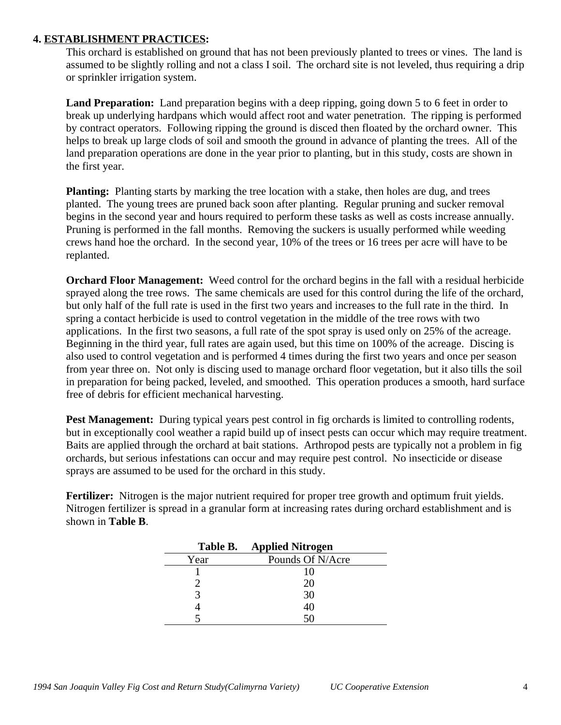### **4. ESTABLISHMENT PRACTICES:**

This orchard is established on ground that has not been previously planted to trees or vines. The land is assumed to be slightly rolling and not a class I soil. The orchard site is not leveled, thus requiring a drip or sprinkler irrigation system.

Land Preparation: Land preparation begins with a deep ripping, going down 5 to 6 feet in order to break up underlying hardpans which would affect root and water penetration. The ripping is performed by contract operators. Following ripping the ground is disced then floated by the orchard owner. This helps to break up large clods of soil and smooth the ground in advance of planting the trees. All of the land preparation operations are done in the year prior to planting, but in this study, costs are shown in the first year.

**Planting:** Planting starts by marking the tree location with a stake, then holes are dug, and trees planted. The young trees are pruned back soon after planting. Regular pruning and sucker removal begins in the second year and hours required to perform these tasks as well as costs increase annually. Pruning is performed in the fall months. Removing the suckers is usually performed while weeding crews hand hoe the orchard. In the second year, 10% of the trees or 16 trees per acre will have to be replanted.

**Orchard Floor Management:** Weed control for the orchard begins in the fall with a residual herbicide sprayed along the tree rows. The same chemicals are used for this control during the life of the orchard, but only half of the full rate is used in the first two years and increases to the full rate in the third. In spring a contact herbicide is used to control vegetation in the middle of the tree rows with two applications. In the first two seasons, a full rate of the spot spray is used only on 25% of the acreage. Beginning in the third year, full rates are again used, but this time on 100% of the acreage. Discing is also used to control vegetation and is performed 4 times during the first two years and once per season from year three on. Not only is discing used to manage orchard floor vegetation, but it also tills the soil in preparation for being packed, leveled, and smoothed. This operation produces a smooth, hard surface free of debris for efficient mechanical harvesting.

**Pest Management:** During typical years pest control in fig orchards is limited to controlling rodents, but in exceptionally cool weather a rapid build up of insect pests can occur which may require treatment. Baits are applied through the orchard at bait stations. Arthropod pests are typically not a problem in fig orchards, but serious infestations can occur and may require pest control. No insecticide or disease sprays are assumed to be used for the orchard in this study.

**Fertilizer:** Nitrogen is the major nutrient required for proper tree growth and optimum fruit yields. Nitrogen fertilizer is spread in a granular form at increasing rates during orchard establishment and is shown in **Table B**.

|      | Table B. Applied Nitrogen |
|------|---------------------------|
| Year | Pounds Of N/Acre          |
|      | 10                        |
|      | 20                        |
|      | 30                        |
|      | 40                        |
|      |                           |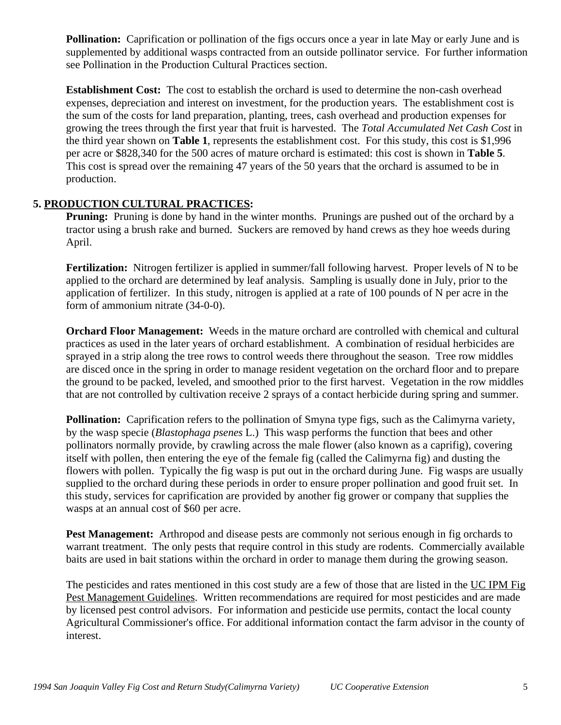**Pollination:** Caprification or pollination of the figs occurs once a year in late May or early June and is supplemented by additional wasps contracted from an outside pollinator service. For further information see Pollination in the Production Cultural Practices section.

**Establishment Cost:** The cost to establish the orchard is used to determine the non-cash overhead expenses, depreciation and interest on investment, for the production years. The establishment cost is the sum of the costs for land preparation, planting, trees, cash overhead and production expenses for growing the trees through the first year that fruit is harvested. The *Total Accumulated Net Cash Cost* in the third year shown on **Table 1**, represents the establishment cost. For this study, this cost is \$1,996 per acre or \$828,340 for the 500 acres of mature orchard is estimated: this cost is shown in **Table 5**. This cost is spread over the remaining 47 years of the 50 years that the orchard is assumed to be in production.

# **5. PRODUCTION CULTURAL PRACTICES:**

**Pruning:** Pruning is done by hand in the winter months. Prunings are pushed out of the orchard by a tractor using a brush rake and burned. Suckers are removed by hand crews as they hoe weeds during April.

**Fertilization:** Nitrogen fertilizer is applied in summer/fall following harvest. Proper levels of N to be applied to the orchard are determined by leaf analysis. Sampling is usually done in July, prior to the application of fertilizer. In this study, nitrogen is applied at a rate of 100 pounds of N per acre in the form of ammonium nitrate (34-0-0).

**Orchard Floor Management:** Weeds in the mature orchard are controlled with chemical and cultural practices as used in the later years of orchard establishment. A combination of residual herbicides are sprayed in a strip along the tree rows to control weeds there throughout the season. Tree row middles are disced once in the spring in order to manage resident vegetation on the orchard floor and to prepare the ground to be packed, leveled, and smoothed prior to the first harvest. Vegetation in the row middles that are not controlled by cultivation receive 2 sprays of a contact herbicide during spring and summer.

**Pollination:** Caprification refers to the pollination of Smyna type figs, such as the Calimyrna variety, by the wasp specie (*Blastophaga psenes* L.) This wasp performs the function that bees and other pollinators normally provide, by crawling across the male flower (also known as a caprifig), covering itself with pollen, then entering the eye of the female fig (called the Calimyrna fig) and dusting the flowers with pollen. Typically the fig wasp is put out in the orchard during June. Fig wasps are usually supplied to the orchard during these periods in order to ensure proper pollination and good fruit set. In this study, services for caprification are provided by another fig grower or company that supplies the wasps at an annual cost of \$60 per acre.

**Pest Management:** Arthropod and disease pests are commonly not serious enough in fig orchards to warrant treatment. The only pests that require control in this study are rodents. Commercially available baits are used in bait stations within the orchard in order to manage them during the growing season.

The pesticides and rates mentioned in this cost study are a few of those that are listed in the UC IPM Fig Pest Management Guidelines. Written recommendations are required for most pesticides and are made by licensed pest control advisors. For information and pesticide use permits, contact the local county Agricultural Commissioner's office. For additional information contact the farm advisor in the county of interest.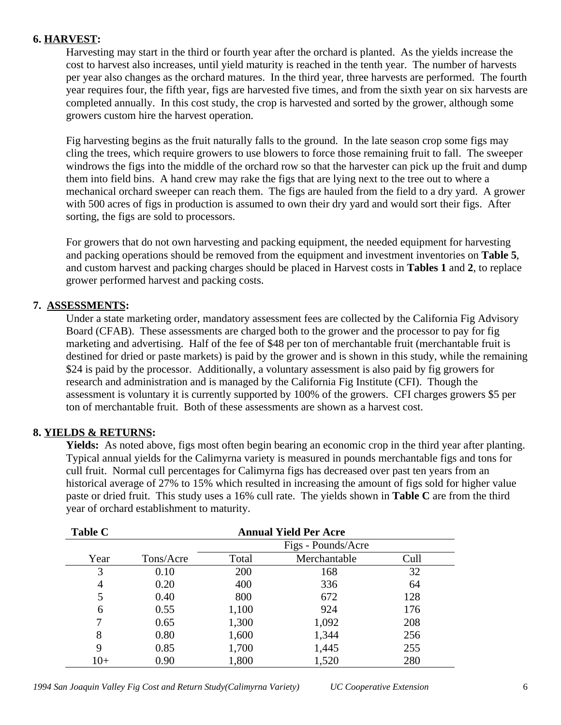### **6. HARVEST:**

Harvesting may start in the third or fourth year after the orchard is planted. As the yields increase the cost to harvest also increases, until yield maturity is reached in the tenth year. The number of harvests per year also changes as the orchard matures. In the third year, three harvests are performed. The fourth year requires four, the fifth year, figs are harvested five times, and from the sixth year on six harvests are completed annually. In this cost study, the crop is harvested and sorted by the grower, although some growers custom hire the harvest operation.

Fig harvesting begins as the fruit naturally falls to the ground. In the late season crop some figs may cling the trees, which require growers to use blowers to force those remaining fruit to fall. The sweeper windrows the figs into the middle of the orchard row so that the harvester can pick up the fruit and dump them into field bins. A hand crew may rake the figs that are lying next to the tree out to where a mechanical orchard sweeper can reach them. The figs are hauled from the field to a dry yard. A grower with 500 acres of figs in production is assumed to own their dry yard and would sort their figs. After sorting, the figs are sold to processors.

For growers that do not own harvesting and packing equipment, the needed equipment for harvesting and packing operations should be removed from the equipment and investment inventories on **Table 5**, and custom harvest and packing charges should be placed in Harvest costs in **Tables 1** and **2**, to replace grower performed harvest and packing costs.

# **7. ASSESSMENTS:**

Under a state marketing order, mandatory assessment fees are collected by the California Fig Advisory Board (CFAB). These assessments are charged both to the grower and the processor to pay for fig marketing and advertising. Half of the fee of \$48 per ton of merchantable fruit (merchantable fruit is destined for dried or paste markets) is paid by the grower and is shown in this study, while the remaining \$24 is paid by the processor. Additionally, a voluntary assessment is also paid by fig growers for research and administration and is managed by the California Fig Institute (CFI). Though the assessment is voluntary it is currently supported by 100% of the growers. CFI charges growers \$5 per ton of merchantable fruit. Both of these assessments are shown as a harvest cost.

# **8. YIELDS & RETURNS:**

**Yields:** As noted above, figs most often begin bearing an economic crop in the third year after planting. Typical annual yields for the Calimyrna variety is measured in pounds merchantable figs and tons for cull fruit. Normal cull percentages for Calimyrna figs has decreased over past ten years from an historical average of 27% to 15% which resulted in increasing the amount of figs sold for higher value paste or dried fruit. This study uses a 16% cull rate. The yields shown in **Table C** are from the third year of orchard establishment to maturity.

| <b>Table C</b> | <b>Annual Yield Per Acre</b> |                    |              |      |  |  |  |  |  |  |  |
|----------------|------------------------------|--------------------|--------------|------|--|--|--|--|--|--|--|
|                |                              | Figs - Pounds/Acre |              |      |  |  |  |  |  |  |  |
| Year           | Tons/Acre                    | Total              | Merchantable | Cull |  |  |  |  |  |  |  |
| 3              | 0.10                         | 200                | 168          | 32   |  |  |  |  |  |  |  |
| 4              | 0.20                         | 400                | 336          | 64   |  |  |  |  |  |  |  |
| 5              | 0.40                         | 800                | 672          | 128  |  |  |  |  |  |  |  |
| 6              | 0.55                         | 1,100              | 924          | 176  |  |  |  |  |  |  |  |
| 7              | 0.65                         | 1,300              | 1,092        | 208  |  |  |  |  |  |  |  |
| 8              | 0.80                         | 1,600              | 1,344        | 256  |  |  |  |  |  |  |  |
| 9              | 0.85                         | 1,700              | 1,445        | 255  |  |  |  |  |  |  |  |
| $10+$          | 0.90                         | 1,800              | 1,520        | 280  |  |  |  |  |  |  |  |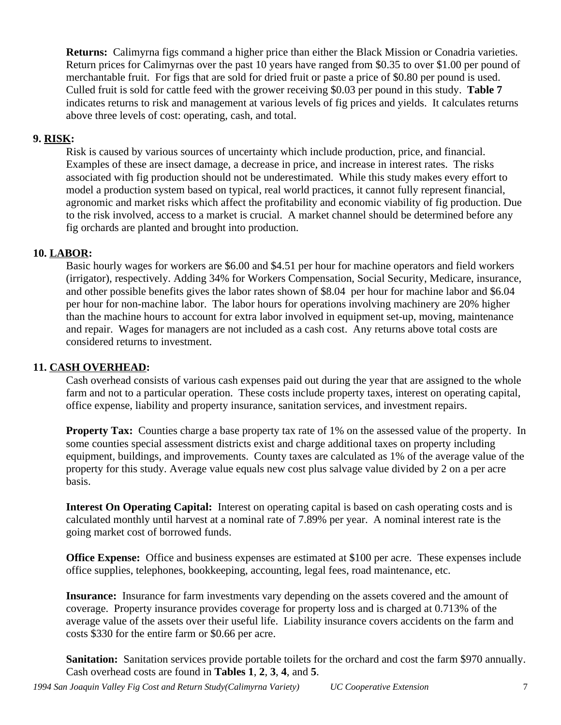**Returns:** Calimyrna figs command a higher price than either the Black Mission or Conadria varieties. Return prices for Calimyrnas over the past 10 years have ranged from \$0.35 to over \$1.00 per pound of merchantable fruit. For figs that are sold for dried fruit or paste a price of \$0.80 per pound is used. Culled fruit is sold for cattle feed with the grower receiving \$0.03 per pound in this study. **Table 7** indicates returns to risk and management at various levels of fig prices and yields. It calculates returns above three levels of cost: operating, cash, and total.

## **9. RISK:**

Risk is caused by various sources of uncertainty which include production, price, and financial. Examples of these are insect damage, a decrease in price, and increase in interest rates. The risks associated with fig production should not be underestimated. While this study makes every effort to model a production system based on typical, real world practices, it cannot fully represent financial, agronomic and market risks which affect the profitability and economic viability of fig production. Due to the risk involved, access to a market is crucial. A market channel should be determined before any fig orchards are planted and brought into production.

## **10. LABOR:**

Basic hourly wages for workers are \$6.00 and \$4.51 per hour for machine operators and field workers (irrigator), respectively. Adding 34% for Workers Compensation, Social Security, Medicare, insurance, and other possible benefits gives the labor rates shown of \$8.04 per hour for machine labor and \$6.04 per hour for non-machine labor. The labor hours for operations involving machinery are 20% higher than the machine hours to account for extra labor involved in equipment set-up, moving, maintenance and repair. Wages for managers are not included as a cash cost. Any returns above total costs are considered returns to investment.

### **11. CASH OVERHEAD:**

Cash overhead consists of various cash expenses paid out during the year that are assigned to the whole farm and not to a particular operation. These costs include property taxes, interest on operating capital, office expense, liability and property insurance, sanitation services, and investment repairs.

**Property Tax:** Counties charge a base property tax rate of 1% on the assessed value of the property. In some counties special assessment districts exist and charge additional taxes on property including equipment, buildings, and improvements. County taxes are calculated as 1% of the average value of the property for this study. Average value equals new cost plus salvage value divided by 2 on a per acre basis.

**Interest On Operating Capital:** Interest on operating capital is based on cash operating costs and is calculated monthly until harvest at a nominal rate of 7.89% per year. A nominal interest rate is the going market cost of borrowed funds.

**Office Expense:** Office and business expenses are estimated at \$100 per acre. These expenses include office supplies, telephones, bookkeeping, accounting, legal fees, road maintenance, etc.

**Insurance:** Insurance for farm investments vary depending on the assets covered and the amount of coverage. Property insurance provides coverage for property loss and is charged at 0.713% of the average value of the assets over their useful life. Liability insurance covers accidents on the farm and costs \$330 for the entire farm or \$0.66 per acre.

**Sanitation:** Sanitation services provide portable toilets for the orchard and cost the farm \$970 annually. Cash overhead costs are found in **Tables 1**, **2**, **3**, **4**, and **5**.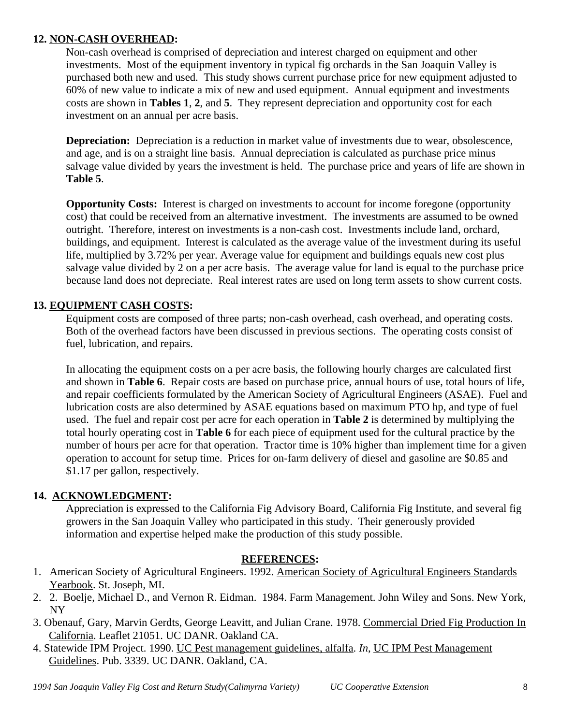# **12. NON-CASH OVERHEAD:**

Non-cash overhead is comprised of depreciation and interest charged on equipment and other investments. Most of the equipment inventory in typical fig orchards in the San Joaquin Valley is purchased both new and used. This study shows current purchase price for new equipment adjusted to 60% of new value to indicate a mix of new and used equipment. Annual equipment and investments costs are shown in **Tables 1**, **2**, and **5**. They represent depreciation and opportunity cost for each investment on an annual per acre basis.

**Depreciation:** Depreciation is a reduction in market value of investments due to wear, obsolescence, and age, and is on a straight line basis. Annual depreciation is calculated as purchase price minus salvage value divided by years the investment is held. The purchase price and years of life are shown in **Table 5**.

**Opportunity Costs:** Interest is charged on investments to account for income foregone (opportunity cost) that could be received from an alternative investment. The investments are assumed to be owned outright. Therefore, interest on investments is a non-cash cost. Investments include land, orchard, buildings, and equipment. Interest is calculated as the average value of the investment during its useful life, multiplied by 3.72% per year. Average value for equipment and buildings equals new cost plus salvage value divided by 2 on a per acre basis. The average value for land is equal to the purchase price because land does not depreciate. Real interest rates are used on long term assets to show current costs.

# **13. EQUIPMENT CASH COSTS:**

Equipment costs are composed of three parts; non-cash overhead, cash overhead, and operating costs. Both of the overhead factors have been discussed in previous sections. The operating costs consist of fuel, lubrication, and repairs.

In allocating the equipment costs on a per acre basis, the following hourly charges are calculated first and shown in **Table 6**. Repair costs are based on purchase price, annual hours of use, total hours of life, and repair coefficients formulated by the American Society of Agricultural Engineers (ASAE). Fuel and lubrication costs are also determined by ASAE equations based on maximum PTO hp, and type of fuel used. The fuel and repair cost per acre for each operation in **Table 2** is determined by multiplying the total hourly operating cost in **Table 6** for each piece of equipment used for the cultural practice by the number of hours per acre for that operation. Tractor time is 10% higher than implement time for a given operation to account for setup time. Prices for on-farm delivery of diesel and gasoline are \$0.85 and \$1.17 per gallon, respectively.

# **14. ACKNOWLEDGMENT:**

Appreciation is expressed to the California Fig Advisory Board, California Fig Institute, and several fig growers in the San Joaquin Valley who participated in this study. Their generously provided information and expertise helped make the production of this study possible.

# **REFERENCES:**

- 1. American Society of Agricultural Engineers. 1992. American Society of Agricultural Engineers Standards Yearbook. St. Joseph, MI.
- 2. 2. Boelje, Michael D., and Vernon R. Eidman. 1984. Farm Management. John Wiley and Sons. New York, NY
- 3. Obenauf, Gary, Marvin Gerdts, George Leavitt, and Julian Crane. 1978. Commercial Dried Fig Production In California. Leaflet 21051. UC DANR. Oakland CA.
- 4. Statewide IPM Project. 1990. UC Pest management guidelines, alfalfa. *In*, UC IPM Pest Management Guidelines. Pub. 3339. UC DANR. Oakland, CA.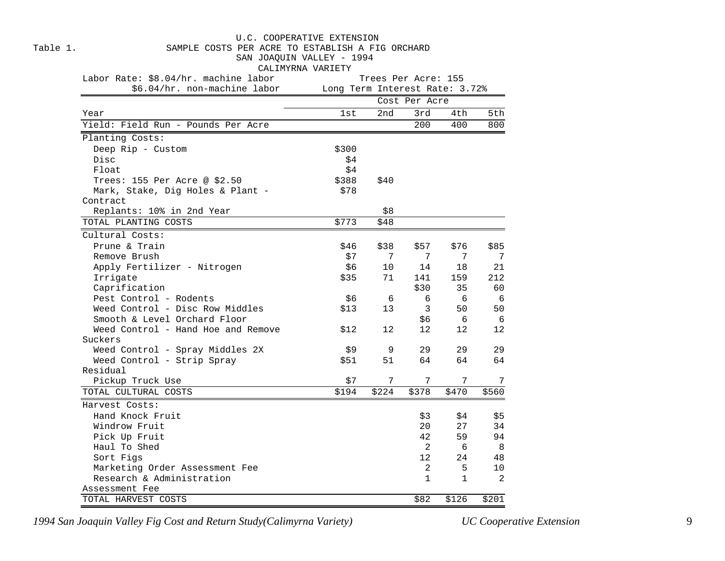|          | U.C. COOPERATIVE EXTENSION                                                    |                                |                     |               |              |                |  |  |  |  |  |  |
|----------|-------------------------------------------------------------------------------|--------------------------------|---------------------|---------------|--------------|----------------|--|--|--|--|--|--|
| Table 1. | SAMPLE COSTS PER ACRE TO ESTABLISH A FIG ORCHARD<br>SAN JOAQUIN VALLEY - 1994 |                                |                     |               |              |                |  |  |  |  |  |  |
|          |                                                                               |                                |                     |               |              |                |  |  |  |  |  |  |
|          | CALIMYRNA VARIETY                                                             |                                |                     |               |              |                |  |  |  |  |  |  |
|          | Labor Rate: \$8.04/hr. machine labor                                          |                                | Trees Per Acre: 155 |               |              |                |  |  |  |  |  |  |
|          | \$6.04/hr. non-machine labor                                                  | Long Term Interest Rate: 3.72% |                     |               |              |                |  |  |  |  |  |  |
|          |                                                                               |                                |                     | Cost Per Acre |              |                |  |  |  |  |  |  |
| Year     |                                                                               | 1st                            | 2nd                 | 3rd           | 4th          | 5th            |  |  |  |  |  |  |
|          | Yield: Field Run - Pounds Per Acre                                            |                                |                     | 200           | 400          | 800            |  |  |  |  |  |  |
|          | Planting Costs:                                                               |                                |                     |               |              |                |  |  |  |  |  |  |
|          | Deep Rip - Custom                                                             | \$300                          |                     |               |              |                |  |  |  |  |  |  |
|          | Disc                                                                          | \$4                            |                     |               |              |                |  |  |  |  |  |  |
|          | Float                                                                         | \$4                            |                     |               |              |                |  |  |  |  |  |  |
|          | Trees: 155 Per Acre @ \$2.50                                                  | \$388                          | \$40                |               |              |                |  |  |  |  |  |  |
|          | Mark, Stake, Dig Holes & Plant -                                              | \$78                           |                     |               |              |                |  |  |  |  |  |  |
|          | Contract                                                                      |                                |                     |               |              |                |  |  |  |  |  |  |
|          | Replants: 10% in 2nd Year                                                     |                                | \$8                 |               |              |                |  |  |  |  |  |  |
|          | TOTAL PLANTING COSTS                                                          | \$773                          | \$48                |               |              |                |  |  |  |  |  |  |
|          | Cultural Costs:                                                               |                                |                     |               |              |                |  |  |  |  |  |  |
|          | Prune & Train                                                                 | \$46                           | \$38                | \$57          | \$76         | \$85           |  |  |  |  |  |  |
|          | Remove Brush                                                                  | \$7                            | 7                   | 7             | 7            | 7              |  |  |  |  |  |  |
|          | Apply Fertilizer - Nitrogen                                                   | \$6                            | 10                  | 14            | 18           | 21             |  |  |  |  |  |  |
|          | Irrigate                                                                      | \$35                           | 71                  | 141           | 159          | 212            |  |  |  |  |  |  |
|          | Caprification                                                                 |                                |                     | \$30          | 35           | 60             |  |  |  |  |  |  |
|          | Pest Control - Rodents                                                        | \$6                            | 6                   | 6             | 6            | 6              |  |  |  |  |  |  |
|          | Weed Control - Disc Row Middles                                               | \$13                           | 13                  | 3             | 50           | 50             |  |  |  |  |  |  |
|          | Smooth & Level Orchard Floor                                                  |                                |                     | \$6           | 6            | -6             |  |  |  |  |  |  |
|          | Weed Control - Hand Hoe and Remove                                            | \$12                           | 12                  | 12            | 12           | 12             |  |  |  |  |  |  |
|          | Suckers                                                                       |                                |                     |               |              |                |  |  |  |  |  |  |
|          | Weed Control - Spray Middles 2X                                               | \$9                            | 9                   | 29            | 29           | 29             |  |  |  |  |  |  |
|          | Weed Control - Strip Spray                                                    | \$51                           | 51                  | 64            | 64           | 64             |  |  |  |  |  |  |
|          | Residual                                                                      |                                |                     |               |              |                |  |  |  |  |  |  |
|          | Pickup Truck Use                                                              | \$7                            | 7                   | 7             | 7            | 7              |  |  |  |  |  |  |
|          | TOTAL CULTURAL COSTS                                                          | \$194                          | \$224               | \$378         | \$470        | \$560          |  |  |  |  |  |  |
|          | Harvest Costs:                                                                |                                |                     |               |              |                |  |  |  |  |  |  |
|          | Hand Knock Fruit                                                              |                                |                     | \$3           | \$4          | \$5            |  |  |  |  |  |  |
|          | Windrow Fruit                                                                 |                                |                     | 20            | 27           | 34             |  |  |  |  |  |  |
|          | Pick Up Fruit                                                                 |                                |                     | 42            | 59           | 94             |  |  |  |  |  |  |
|          | Haul To Shed                                                                  |                                |                     | 2             | 6            | 8              |  |  |  |  |  |  |
|          | Sort Figs                                                                     |                                |                     | 12            | 24           | 48             |  |  |  |  |  |  |
|          | Marketing Order Assessment Fee                                                |                                |                     | 2             | 5            | 10             |  |  |  |  |  |  |
|          | Research & Administration                                                     |                                |                     | $\mathbf{1}$  | $\mathbf{1}$ | $\overline{2}$ |  |  |  |  |  |  |
|          | Assessment Fee                                                                |                                |                     |               |              |                |  |  |  |  |  |  |
|          | TOTAL HARVEST COSTS                                                           |                                |                     | \$82          | \$126        | \$201          |  |  |  |  |  |  |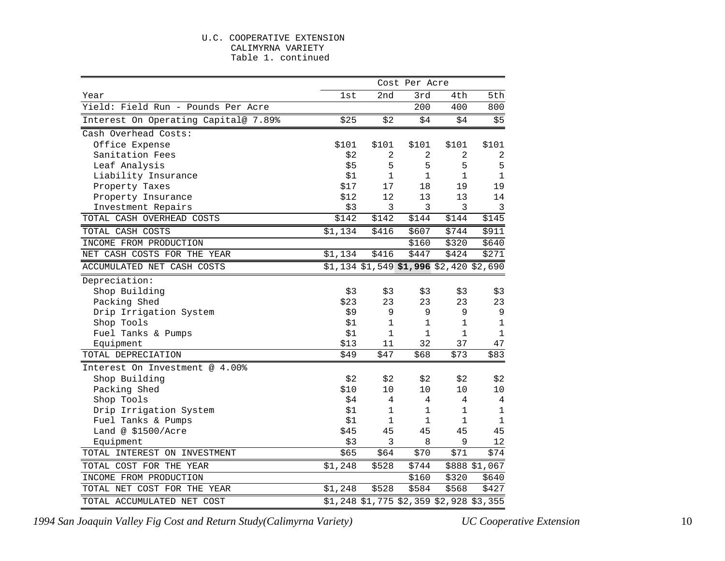#### U.C. COOPERATIVE EXTENSION CALIMYRNA VARIETY Table 1. continued

|                                      | Cost Per Acre |                                           |              |              |                |  |  |
|--------------------------------------|---------------|-------------------------------------------|--------------|--------------|----------------|--|--|
| Year                                 | 1st           | 2nd                                       | 3rd          | 4th          | 5th            |  |  |
| Yield: Field Run - Pounds Per Acre   |               |                                           | 200          | 400          | 800            |  |  |
| Interest On Operating Capital@ 7.89% | \$25          | \$2                                       | \$4          | \$4          | \$5            |  |  |
| Cash Overhead Costs:                 |               |                                           |              |              |                |  |  |
| Office Expense                       | \$101         | \$101                                     | \$101        | \$101        | \$101          |  |  |
| Sanitation Fees                      | \$2           | 2                                         | 2            | 2            | $\sqrt{2}$     |  |  |
| Leaf Analysis                        | \$5           | 5                                         | 5            | 5            | 5              |  |  |
| Liability Insurance                  | \$1           | $\mathbf{1}$                              | 1            | $\mathbf{1}$ | 1              |  |  |
| Property Taxes                       | \$17          | 17                                        | 18           | 19           | 19             |  |  |
| Property Insurance                   | \$12          | 12                                        | 13           | 13           | 14             |  |  |
| Investment Repairs                   | \$3           | 3                                         | 3            | 3            | $\overline{3}$ |  |  |
| TOTAL CASH OVERHEAD COSTS            | \$142         | \$142                                     | \$144        | \$144        | \$145          |  |  |
| TOTAL CASH COSTS                     | \$1,134       | \$416                                     | \$607        | \$744        | \$911          |  |  |
| INCOME FROM PRODUCTION               |               |                                           | \$160        | \$320        | \$640          |  |  |
| NET CASH COSTS FOR THE YEAR          | \$1,134       | \$416                                     | \$447        | \$424        | \$271          |  |  |
| ACCUMULATED NET CASH COSTS           |               | $$1,134$ $$1,549$ \$1,996 \$2,420 \$2,690 |              |              |                |  |  |
| Depreciation:                        |               |                                           |              |              |                |  |  |
| Shop Building                        | \$3           | \$3                                       | \$3          | \$3          | \$3            |  |  |
| Packing Shed                         | \$23          | 23                                        | 23           | 23           | 23             |  |  |
| Drip Irrigation System               | \$9           | 9                                         | 9            | 9            | 9              |  |  |
| Shop Tools                           | \$1           | $\mathbf{1}$                              | 1            | $\mathbf 1$  | $\mathbf 1$    |  |  |
| Fuel Tanks & Pumps                   | \$1           | $\mathbf{1}$                              | $\mathbf{1}$ | $\mathbf 1$  | $\mathbf 1$    |  |  |
| Equipment                            | \$13          | 11                                        | 32           | 37           | 47             |  |  |
| TOTAL DEPRECIATION                   | \$49          | \$47                                      | \$68         | \$73         | \$83           |  |  |
| Interest On Investment @ 4.00%       |               |                                           |              |              |                |  |  |
| Shop Building                        | \$2           | \$2                                       | \$2          | \$2          | \$2            |  |  |
| Packing Shed                         | \$10          | 10                                        | 10           | 10           | 10             |  |  |
| Shop Tools                           | \$4           | 4                                         | 4            | 4            | 4              |  |  |
| Drip Irrigation System               | \$1           | 1                                         | 1            | $\mathbf{1}$ | $\mathbf 1$    |  |  |
| Fuel Tanks & Pumps                   | \$1           | $\mathbf{1}$                              | $\mathbf{1}$ | $\mathbf 1$  | $\mathbf 1$    |  |  |
| Land @ \$1500/Acre                   | \$45          | 45                                        | 45           | 45           | 45             |  |  |
| Equipment                            | \$3           | 3                                         | 8            | 9            | 12             |  |  |
| TOTAL INTEREST ON INVESTMENT         | \$65          | \$64                                      | \$70         | \$71         | \$74           |  |  |
| TOTAL COST FOR THE YEAR              | \$1,248       | \$528                                     | \$744        |              | \$888 \$1,067  |  |  |
| INCOME FROM PRODUCTION               |               |                                           | \$160        | \$320        | \$640          |  |  |
| TOTAL NET COST FOR THE YEAR          | \$1,248       | \$528                                     | \$584        | \$568        | \$427          |  |  |
| TOTAL ACCUMULATED NET COST           |               | \$1,248 \$1,775 \$2,359 \$2,928 \$3,355   |              |              |                |  |  |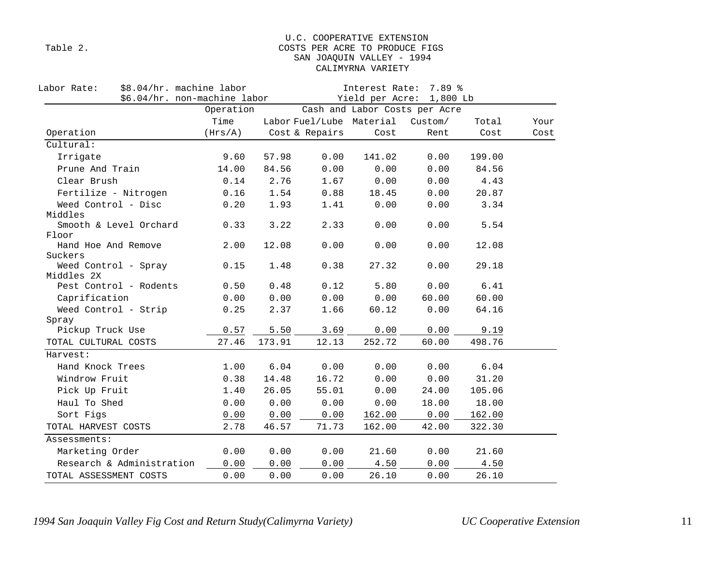#### U.C. COOPERATIVE EXTENSION Table 2. Table 2. SAN JOAQUIN VALLEY - 1994 CALIMYRNA VARIETY

| \$8.04/hr. machine labor<br>Labor Rate:<br>\$6.04/hr. non-machine labor |           |        | Interest Rate: 7.89 %<br>Yield per Acre: 1,800 Lb |                          |                               |        |      |  |  |
|-------------------------------------------------------------------------|-----------|--------|---------------------------------------------------|--------------------------|-------------------------------|--------|------|--|--|
|                                                                         | Operation |        |                                                   |                          | Cash and Labor Costs per Acre |        |      |  |  |
|                                                                         | Time      |        |                                                   | Labor Fuel/Lube Material | Custom/                       | Total  | Your |  |  |
| Operation                                                               | (Hrs/A)   |        | Cost & Repairs                                    | Cost                     | Rent                          | Cost   | Cost |  |  |
| Cultural:                                                               |           |        |                                                   |                          |                               |        |      |  |  |
| Irrigate                                                                | 9.60      | 57.98  | 0.00                                              | 141.02                   | 0.00                          | 199.00 |      |  |  |
| Prune And Train                                                         | 14.00     | 84.56  | 0.00                                              | 0.00                     | 0.00                          | 84.56  |      |  |  |
| Clear Brush                                                             | 0.14      | 2.76   | 1.67                                              | 0.00                     | 0.00                          | 4.43   |      |  |  |
| Fertilize - Nitrogen                                                    | 0.16      | 1.54   | 0.88                                              | 18.45                    | 0.00                          | 20.87  |      |  |  |
| Weed Control - Disc                                                     | 0.20      | 1.93   | 1.41                                              | 0.00                     | 0.00                          | 3.34   |      |  |  |
| Middles                                                                 |           |        |                                                   |                          |                               |        |      |  |  |
| Smooth & Level Orchard                                                  | 0.33      | 3.22   | 2.33                                              | 0.00                     | 0.00                          | 5.54   |      |  |  |
| Floor<br>Hand Hoe And Remove                                            | 2.00      | 12.08  | 0.00                                              | 0.00                     | 0.00                          | 12.08  |      |  |  |
| Suckers                                                                 |           |        |                                                   |                          |                               |        |      |  |  |
| Weed Control - Spray                                                    | 0.15      | 1.48   | 0.38                                              | 27.32                    | 0.00                          | 29.18  |      |  |  |
| Middles 2X                                                              |           |        |                                                   |                          |                               |        |      |  |  |
| Pest Control - Rodents                                                  | 0.50      | 0.48   | 0.12                                              | 5.80                     | 0.00                          | 6.41   |      |  |  |
| Caprification                                                           | 0.00      | 0.00   | 0.00                                              | 0.00                     | 60.00                         | 60.00  |      |  |  |
| Weed Control - Strip                                                    | 0.25      | 2.37   | 1.66                                              | 60.12                    | 0.00                          | 64.16  |      |  |  |
| Spray                                                                   |           |        |                                                   |                          |                               |        |      |  |  |
| Pickup Truck Use                                                        | 0.57      | 5.50   | 3.69                                              | 0.00                     | 0.00                          | 9.19   |      |  |  |
| TOTAL CULTURAL COSTS                                                    | 27.46     | 173.91 | 12.13                                             | 252.72                   | 60.00                         | 498.76 |      |  |  |
| Harvest:                                                                |           |        |                                                   |                          |                               |        |      |  |  |
| Hand Knock Trees                                                        | 1.00      | 6.04   | 0.00                                              | 0.00                     | 0.00                          | 6.04   |      |  |  |
| Windrow Fruit                                                           | 0.38      | 14.48  | 16.72                                             | 0.00                     | 0.00                          | 31.20  |      |  |  |
| Pick Up Fruit                                                           | 1.40      | 26.05  | 55.01                                             | 0.00                     | 24.00                         | 105.06 |      |  |  |
| Haul To Shed                                                            | 0.00      | 0.00   | 0.00                                              | 0.00                     | 18.00                         | 18.00  |      |  |  |
| Sort Figs                                                               | 0.00      | 0.00   | 0.00                                              | 162.00                   | 0.00                          | 162.00 |      |  |  |
| TOTAL HARVEST COSTS                                                     | 2.78      | 46.57  | 71.73                                             | 162.00                   | 42.00                         | 322.30 |      |  |  |
| Assessments:                                                            |           |        |                                                   |                          |                               |        |      |  |  |
| Marketing Order                                                         | 0.00      | 0.00   | 0.00                                              | 21.60                    | 0.00                          | 21.60  |      |  |  |
| Research & Administration                                               | 0.00      | 0.00   | 0.00                                              | 4.50                     | 0.00                          | 4.50   |      |  |  |
| TOTAL ASSESSMENT COSTS                                                  | 0.00      | 0.00   | 0.00                                              | 26.10                    | 0.00                          | 26.10  |      |  |  |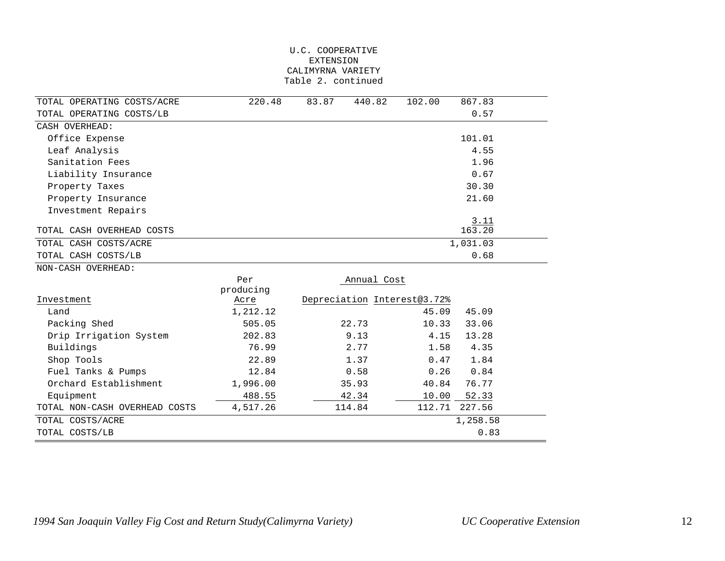#### U.C. COOPERATIVE EXTENSION CALIMYRNA VARIETY Table 2. continued

| TOTAL OPERATING COSTS/ACRE    | 220.48    | 83.87  | 102.00<br>440.82            | 867.83   |
|-------------------------------|-----------|--------|-----------------------------|----------|
| TOTAL OPERATING COSTS/LB      |           |        |                             | 0.57     |
| CASH OVERHEAD:                |           |        |                             |          |
| Office Expense                |           |        |                             | 101.01   |
| Leaf Analysis                 |           |        |                             | 4.55     |
| Sanitation Fees               |           |        |                             | 1.96     |
| Liability Insurance           |           |        |                             | 0.67     |
| Property Taxes                |           |        |                             | 30.30    |
| Property Insurance            |           |        |                             | 21.60    |
| Investment Repairs            |           |        |                             |          |
|                               |           |        |                             | 3.11     |
| TOTAL CASH OVERHEAD COSTS     |           |        |                             | 163.20   |
| TOTAL CASH COSTS/ACRE         |           |        |                             | 1,031.03 |
| TOTAL CASH COSTS/LB           |           |        |                             | 0.68     |
| NON-CASH OVERHEAD:            |           |        |                             |          |
|                               | Per       |        | Annual Cost                 |          |
|                               | producing |        |                             |          |
| Investment                    | Acre      |        | Depreciation Interest@3.72% |          |
| Land                          | 1,212.12  |        | 45.09                       | 45.09    |
| Packing Shed                  | 505.05    | 22.73  | 10.33                       | 33.06    |
| Drip Irrigation System        | 202.83    | 9.13   | 4.15                        | 13.28    |
| Buildings                     | 76.99     | 2.77   | 1.58                        | 4.35     |
| Shop Tools                    | 22.89     | 1.37   | 0.47                        | 1.84     |
| Fuel Tanks & Pumps            | 12.84     | 0.58   | 0.26                        | 0.84     |
| Orchard Establishment         | 1,996.00  | 35.93  | 40.84                       | 76.77    |
| Equipment                     | 488.55    | 42.34  | 10.00                       | 52.33    |
| TOTAL NON-CASH OVERHEAD COSTS | 4,517.26  | 114.84 | 112.71                      | 227.56   |
| TOTAL COSTS/ACRE              |           |        |                             | 1,258.58 |
| TOTAL COSTS/LB                |           |        |                             | 0.83     |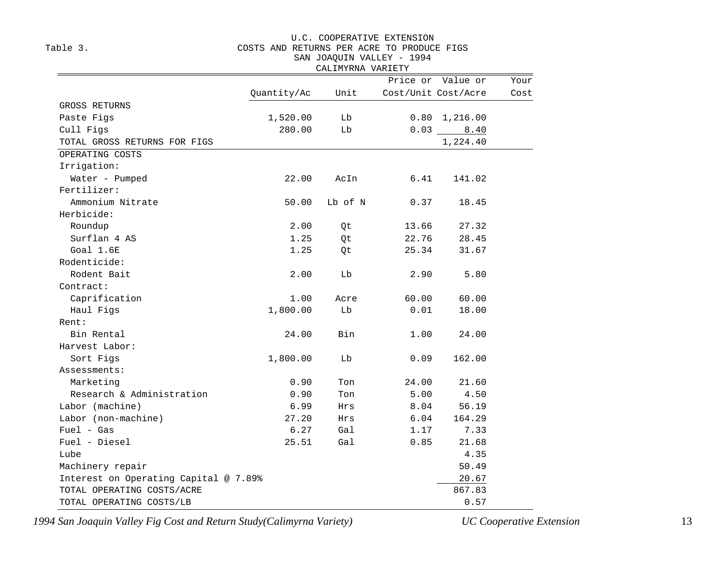#### U.C. COOPERATIVE EXTENSION

#### Table 3. COSTS AND RETURNS PER ACRE TO PRODUCE FIGS

#### SAN JOAQUIN VALLEY - 1994

|                                       |             | CALIMYRNA VARIETY |       |                     |      |
|---------------------------------------|-------------|-------------------|-------|---------------------|------|
|                                       |             |                   |       | Price or Value or   | Your |
|                                       | Quantity/Ac | Unit              |       | Cost/Unit Cost/Acre | Cost |
| GROSS RETURNS                         |             |                   |       |                     |      |
| Paste Figs                            | 1,520.00    | Lb                |       | 0.80 1,216.00       |      |
| Cull Figs                             | 280.00      | Lb                | 0.03  | 8.40                |      |
| TOTAL GROSS RETURNS FOR FIGS          |             |                   |       | 1,224.40            |      |
| OPERATING COSTS                       |             |                   |       |                     |      |
| Irrigation:                           |             |                   |       |                     |      |
| Water - Pumped                        | 22.00       | AcIn              | 6.41  | 141.02              |      |
| Fertilizer:                           |             |                   |       |                     |      |
| Ammonium Nitrate                      | 50.00       | Lb of N           | 0.37  | 18.45               |      |
| Herbicide:                            |             |                   |       |                     |      |
| Roundup                               | 2.00        | Qt                | 13.66 | 27.32               |      |
| Surflan 4 AS                          | 1.25        | Qt                | 22.76 | 28.45               |      |
| Goal 1.6E                             | 1.25        | Qt                | 25.34 | 31.67               |      |
| Rodenticide:                          |             |                   |       |                     |      |
| Rodent Bait                           | 2.00        | Lb                | 2.90  | 5.80                |      |
| Contract:                             |             |                   |       |                     |      |
| Caprification                         | 1.00        | Acre              | 60.00 | 60.00               |      |
| Haul Figs                             | 1,800.00    | Lb                | 0.01  | 18.00               |      |
| Rent:                                 |             |                   |       |                     |      |
| Bin Rental                            | 24.00       | Bin               | 1.00  | 24.00               |      |
| Harvest Labor:                        |             |                   |       |                     |      |
| Sort Figs                             | 1,800.00    | Lb                | 0.09  | 162.00              |      |
| Assessments:                          |             |                   |       |                     |      |
| Marketing                             | 0.90        | Ton               | 24.00 | 21.60               |      |
| Research & Administration             | 0.90        | Ton               | 5.00  | 4.50                |      |
| Labor (machine)                       | 6.99        | Hrs               | 8.04  | 56.19               |      |
| Labor (non-machine)                   | 27.20       | Hrs               | 6.04  | 164.29              |      |
| $Fuel - Gas$                          | 6.27        | Gal               | 1.17  | 7.33                |      |
| Fuel - Diesel                         | 25.51       | Gal               | 0.85  | 21.68               |      |
| Lube                                  |             |                   |       | 4.35                |      |
| Machinery repair                      |             |                   |       | 50.49               |      |
| Interest on Operating Capital @ 7.89% |             |                   |       | 20.67               |      |
| TOTAL OPERATING COSTS/ACRE            |             |                   |       | 867.83              |      |
| TOTAL OPERATING COSTS/LB              |             |                   |       | 0.57                |      |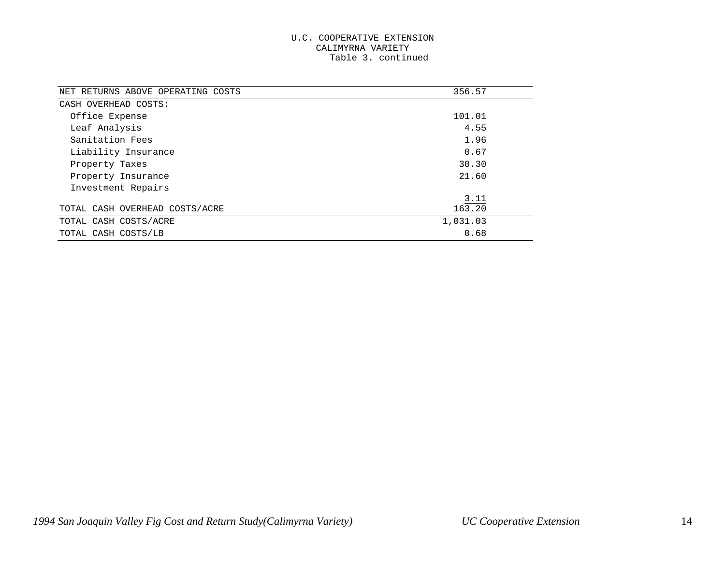#### U.C. COOPERATIVE EXTENSION CALIMYRNA VARIETY Table 3. continued

| NET RETURNS ABOVE OPERATING COSTS | 356.57   |
|-----------------------------------|----------|
| CASH OVERHEAD COSTS:              |          |
| Office Expense                    | 101.01   |
| Leaf Analysis                     | 4.55     |
| Sanitation Fees                   | 1.96     |
| Liability Insurance               | 0.67     |
| Property Taxes                    | 30.30    |
| Property Insurance                | 21.60    |
| Investment Repairs                |          |
|                                   | 3.11     |
| TOTAL CASH OVERHEAD COSTS/ACRE    | 163.20   |
| TOTAL CASH COSTS/ACRE             | 1,031.03 |
| TOTAL CASH COSTS/LB               | 0.68     |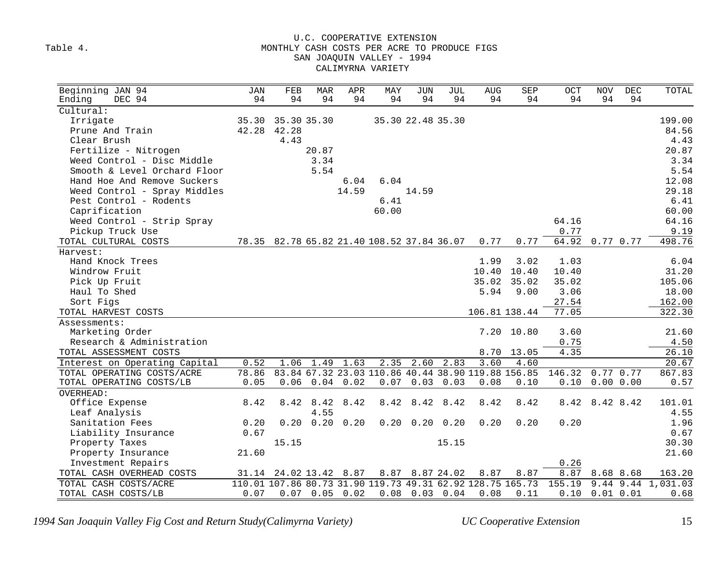#### U.C. COOPERATIVE EXTENSION Table 4. Table 4. SAN JOAQUIN VALLEY - 1994 CALIMYRNA VARIETY

| Beginning JAN 94              | JAN   | FEB                                        | <b>MAR</b>       | APR               | MAY   | <b>JUN</b>           | <b>JUL</b> | <b>AUG</b>                                                 | SEP        | $_{\rm OCT}$ | <b>NOV</b>    | DEC | TOTAL                |
|-------------------------------|-------|--------------------------------------------|------------------|-------------------|-------|----------------------|------------|------------------------------------------------------------|------------|--------------|---------------|-----|----------------------|
| DEC 94<br>Ending              | 94    | 94                                         | 94               | 94                | 94    | 94                   | 94         | 94                                                         | 94         | 94           | 94            | 94  |                      |
| Cultural:                     |       |                                            |                  |                   |       |                      |            |                                                            |            |              |               |     |                      |
| Irrigate                      | 35.30 | 35.30 35.30                                |                  |                   |       | 35.30 22.48 35.30    |            |                                                            |            |              |               |     | 199.00               |
| Prune And Train               |       | 42.28 42.28                                |                  |                   |       |                      |            |                                                            |            |              |               |     | 84.56                |
| Clear Brush                   |       | 4.43                                       |                  |                   |       |                      |            |                                                            |            |              |               |     | 4.43                 |
| Fertilize - Nitrogen          |       |                                            | 20.87            |                   |       |                      |            |                                                            |            |              |               |     | 20.87                |
| Weed Control - Disc Middle    |       |                                            | 3.34             |                   |       |                      |            |                                                            |            |              |               |     | 3.34                 |
| Smooth & Level Orchard Floor  |       |                                            | 5.54             |                   |       |                      |            |                                                            |            |              |               |     | 5.54                 |
| Hand Hoe And Remove Suckers   |       |                                            |                  | 6.04              | 6.04  |                      |            |                                                            |            |              |               |     | 12.08                |
| Weed Control - Spray Middles  |       |                                            |                  | 14.59             |       | 14.59                |            |                                                            |            |              |               |     | 29.18                |
| Pest Control - Rodents        |       |                                            |                  |                   | 6.41  |                      |            |                                                            |            |              |               |     | 6.41                 |
| Caprification                 |       |                                            |                  |                   | 60.00 |                      |            |                                                            |            |              |               |     | 60.00                |
| Weed Control - Strip Spray    |       |                                            |                  |                   |       |                      |            |                                                            |            | 64.16        |               |     | 64.16                |
| Pickup Truck Use              |       |                                            |                  |                   |       |                      |            |                                                            |            | 0.77         |               |     | 9.19                 |
| TOTAL CULTURAL COSTS          |       | 78.35 82.78 65.82 21.40 108.52 37.84 36.07 |                  |                   |       |                      |            | 0.77                                                       | 0.77       | 64.92        | 0.77 0.77     |     | 498.76               |
| Harvest:                      |       |                                            |                  |                   |       |                      |            |                                                            |            |              |               |     |                      |
| Hand Knock Trees              |       |                                            |                  |                   |       |                      |            | 1.99                                                       | 3.02       | 1.03         |               |     | 6.04                 |
| Windrow Fruit                 |       |                                            |                  |                   |       |                      |            | 10.40                                                      | 10.40      | 10.40        |               |     | 31.20                |
| Pick Up Fruit                 |       |                                            |                  |                   |       |                      |            | 35.02                                                      | 35.02      | 35.02        |               |     | 105.06               |
| Haul To Shed                  |       |                                            |                  |                   |       |                      |            | 5.94                                                       | 9.00       | 3.06         |               |     | 18.00                |
| Sort Figs                     |       |                                            |                  |                   |       |                      |            |                                                            |            | 27.54        |               |     | 162.00               |
| TOTAL HARVEST COSTS           |       |                                            |                  |                   |       |                      |            | 106.81 138.44                                              |            | 77.05        |               |     | 322.30               |
| Assessments:                  |       |                                            |                  |                   |       |                      |            |                                                            |            |              |               |     |                      |
| Marketing Order               |       |                                            |                  |                   |       |                      |            |                                                            | 7.20 10.80 | 3.60         |               |     | 21.60                |
| Research & Administration     |       |                                            |                  |                   |       |                      |            |                                                            |            | 0.75         |               |     | 4.50                 |
| TOTAL ASSESSMENT COSTS        |       |                                            |                  |                   |       |                      |            | 8.70                                                       | 13.05      | 4.35         |               |     | 26.10                |
| Interest on Operating Capital | 0.52  | 1.06                                       | 1.49             | 1.63              | 2.35  | 2.60                 | 2.83       | 3.60                                                       | 4.60       |              |               |     | 20.67                |
| TOTAL OPERATING COSTS/ACRE    | 78.86 |                                            |                  |                   |       |                      |            | 83.84 67.32 23.03 110.86 40.44 38.90 119.88 156.85         |            | 146.32       | $0.77$ 0.77   |     | 867.83               |
| TOTAL OPERATING COSTS/LB      | 0.05  | 0.06                                       |                  | $0.04$ 0.02       | 0.07  | 0.03                 | 0.03       | 0.08                                                       | 0.10       | 0.10         | 0.00 0.00     |     | 0.57                 |
| OVERHEAD:                     |       |                                            |                  |                   |       |                      |            |                                                            |            |              |               |     |                      |
| Office Expense                | 8.42  | 8.42                                       | 8.42             | 8.42              | 8.42  | 8.42                 | 8.42       | 8.42                                                       | 8.42       | 8.42         | 8.42 8.42     |     | 101.01               |
| Leaf Analysis                 |       |                                            | 4.55             |                   |       |                      |            |                                                            |            |              |               |     | 4.55                 |
| Sanitation Fees               | 0.20  | 0.20                                       |                  | $0.20 \quad 0.20$ |       | $0.20$ $0.20$ $0.20$ |            | 0.20                                                       | 0.20       | 0.20         |               |     | 1.96                 |
| Liability Insurance           | 0.67  |                                            |                  |                   |       |                      |            |                                                            |            |              |               |     | 0.67                 |
| Property Taxes                |       | 15.15                                      |                  |                   |       |                      | 15.15      |                                                            |            |              |               |     | 30.30                |
| Property Insurance            | 21.60 |                                            |                  |                   |       |                      |            |                                                            |            |              |               |     | 21.60                |
| Investment Repairs            |       |                                            |                  |                   |       |                      |            |                                                            |            | 0.26         |               |     |                      |
| TOTAL CASH OVERHEAD COSTS     |       | 31.14 24.02 13.42 8.87                     |                  |                   |       | 8.87 8.87 24.02      |            | 8.87                                                       | 8.87       | 8.87         | 8.68 8.68     |     | 163.20               |
| TOTAL CASH COSTS/ACRE         |       |                                            |                  |                   |       |                      |            | 110.01 107.86 80.73 31.90 119.73 49.31 62.92 128.75 165.73 |            | 155.19       |               |     | $9.44$ 9.44 1,031.03 |
| TOTAL CASH COSTS/LB           | 0.07  |                                            | $0.07$ 0.05 0.02 |                   |       | $0.08$ 0.03 0.04     |            | 0.08                                                       | 0.11       | 0.10         | $0.01$ $0.01$ |     | 0.68                 |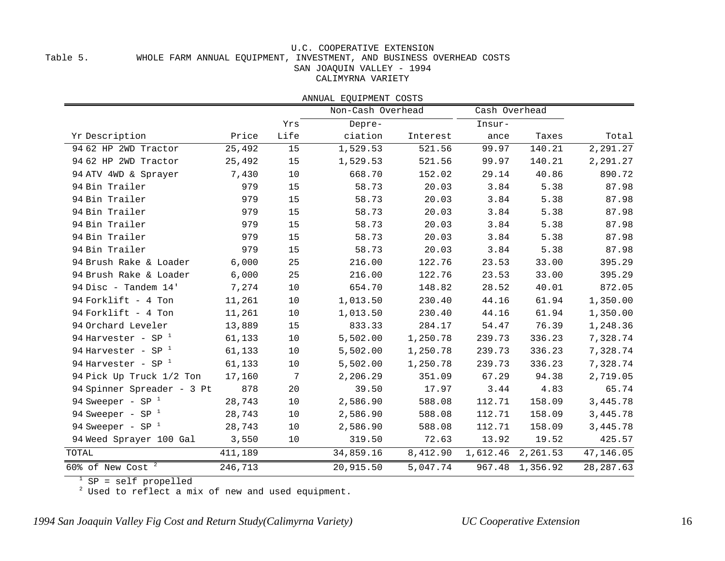#### U.C. COOPERATIVE EXTENSION Table 5. WHOLE FARM ANNUAL EQUIPMENT, INVESTMENT, AND BUSINESS OVERHEAD COSTS SAN JOAQUIN VALLEY - 1994 CALIMYRNA VARIETY

|                            |         |      | ANNUAL EOUIPMENT COSTS |          |               |                 |            |
|----------------------------|---------|------|------------------------|----------|---------------|-----------------|------------|
|                            |         |      | Non-Cash Overhead      |          | Cash Overhead |                 |            |
|                            |         | Yrs  | Depre-                 |          | Insur-        |                 |            |
| Yr Description             | Price   | Life | ciation                | Interest | ance          | Taxes           | Total      |
| 94 62 HP 2WD Tractor       | 25,492  | 15   | 1,529.53               | 521.56   | 99.97         | 140.21          | 2,291.27   |
| 94 62 HP 2WD Tractor       | 25,492  | 15   | 1,529.53               | 521.56   | 99.97         | 140.21          | 2,291.27   |
| 94 ATV 4WD & Sprayer       | 7,430   | 10   | 668.70                 | 152.02   | 29.14         | 40.86           | 890.72     |
| 94 Bin Trailer             | 979     | 15   | 58.73                  | 20.03    | 3.84          | 5.38            | 87.98      |
| 94 Bin Trailer             | 979     | 15   | 58.73                  | 20.03    | 3.84          | 5.38            | 87.98      |
| 94 Bin Trailer             | 979     | 15   | 58.73                  | 20.03    | 3.84          | 5.38            | 87.98      |
| 94 Bin Trailer             | 979     | 15   | 58.73                  | 20.03    | 3.84          | 5.38            | 87.98      |
| 94 Bin Trailer             | 979     | 15   | 58.73                  | 20.03    | 3.84          | 5.38            | 87.98      |
| 94 Bin Trailer             | 979     | 15   | 58.73                  | 20.03    | 3.84          | 5.38            | 87.98      |
| 94 Brush Rake & Loader     | 6,000   | 25   | 216.00                 | 122.76   | 23.53         | 33.00           | 395.29     |
| 94 Brush Rake & Loader     | 6,000   | 25   | 216.00                 | 122.76   | 23.53         | 33.00           | 395.29     |
| 94 Disc - Tandem 14'       | 7,274   | 10   | 654.70                 | 148.82   | 28.52         | 40.01           | 872.05     |
| 94 Forklift - 4 Ton        | 11,261  | 10   | 1,013.50               | 230.40   | 44.16         | 61.94           | 1,350.00   |
| 94 Forklift - 4 Ton        | 11,261  | 10   | 1,013.50               | 230.40   | 44.16         | 61.94           | 1,350.00   |
| 94 Orchard Leveler         | 13,889  | 15   | 833.33                 | 284.17   | 54.47         | 76.39           | 1,248.36   |
| 94 Harvester - SP $1$      | 61,133  | 10   | 5,502.00               | 1,250.78 | 239.73        | 336.23          | 7,328.74   |
| 94 Harvester - SP $1$      | 61,133  | 10   | 5,502.00               | 1,250.78 | 239.73        | 336.23          | 7,328.74   |
| 94 Harvester - SP $^{-1}$  | 61,133  | 10   | 5,502.00               | 1,250.78 | 239.73        | 336.23          | 7,328.74   |
| 94 Pick Up Truck 1/2 Ton   | 17,160  | 7    | 2,206.29               | 351.09   | 67.29         | 94.38           | 2,719.05   |
| 94 Spinner Spreader - 3 Pt | 878     | 20   | 39.50                  | 17.97    | 3.44          | 4.83            | 65.74      |
| 94 Sweeper - SP $1$        | 28,743  | 10   | 2,586.90               | 588.08   | 112.71        | 158.09          | 3,445.78   |
| 94 Sweeper - SP $1$        | 28,743  | 10   | 2,586.90               | 588.08   | 112.71        | 158.09          | 3,445.78   |
| 94 Sweeper - SP $1$        | 28,743  | 10   | 2,586.90               | 588.08   | 112.71        | 158.09          | 3,445.78   |
| 94 Weed Sprayer 100 Gal    | 3,550   | 10   | 319.50                 | 72.63    | 13.92         | 19.52           | 425.57     |
| TOTAL                      | 411,189 |      | 34,859.16              | 8,412.90 | 1,612.46      | 2,261.53        | 47,146.05  |
| 60% of New Cost $^2$       | 246,713 |      | 20,915.50              | 5,047.74 |               | 967.48 1,356.92 | 28, 287.63 |

SP = self propelled

Used to reflect a mix of new and used equipment.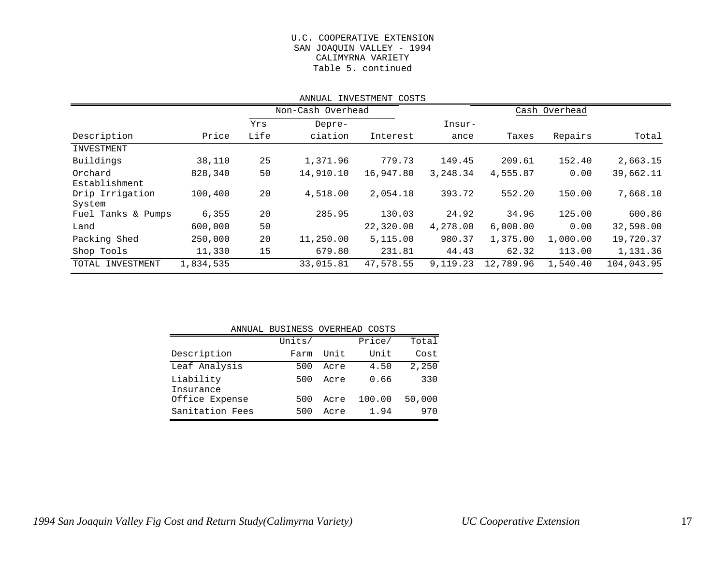#### U.C. COOPERATIVE EXTENSION SAN JOAQUIN VALLEY - 1994 CALIMYRNA VARIETY Table 5. continued

|                                            | ANNUAL INVESTMENT COSTS |      |                   |           |          |               |          |            |  |  |  |  |
|--------------------------------------------|-------------------------|------|-------------------|-----------|----------|---------------|----------|------------|--|--|--|--|
|                                            |                         |      | Non-Cash Overhead |           |          | Cash Overhead |          |            |  |  |  |  |
|                                            |                         | Yrs  | Depre-            |           | Insur-   |               |          |            |  |  |  |  |
| Description                                | Price                   | Life | ciation           | Interest  | ance     | Taxes         | Repairs  | Total      |  |  |  |  |
| INVESTMENT                                 |                         |      |                   |           |          |               |          |            |  |  |  |  |
| Buildings                                  | 38,110                  | 25   | 1,371.96          | 779.73    | 149.45   | 209.61        | 152.40   | 2,663.15   |  |  |  |  |
| Orchard                                    | 828,340                 | 50   | 14,910.10         | 16,947.80 | 3,248.34 | 4,555.87      | 0.00     | 39,662.11  |  |  |  |  |
| Establishment<br>Drip Irrigation<br>System | 100,400                 | 20   | 4,518.00          | 2,054.18  | 393.72   | 552.20        | 150.00   | 7,668.10   |  |  |  |  |
| Fuel Tanks & Pumps                         | 6,355                   | 20   | 285.95            | 130.03    | 24.92    | 34.96         | 125.00   | 600.86     |  |  |  |  |
| Land                                       | 600,000                 | 50   |                   | 22,320.00 | 4,278.00 | 6,000.00      | 0.00     | 32,598.00  |  |  |  |  |
| Packing Shed                               | 250,000                 | 20   | 11,250.00         | 5,115.00  | 980.37   | 1,375.00      | 1,000.00 | 19,720.37  |  |  |  |  |
| Shop Tools                                 | 11,330                  | 15   | 679.80            | 231.81    | 44.43    | 62.32         | 113.00   | 1,131.36   |  |  |  |  |
| TOTAL<br>INVESTMENT                        | 1,834,535               |      | 33,015.81         | 47,578.55 | 9,119.23 | 12,789.96     | 1,540.40 | 104,043.95 |  |  |  |  |

|                        | ANNUAL BUSINESS OVERHEAD COSTS |      |        |        |
|------------------------|--------------------------------|------|--------|--------|
|                        | Units/                         |      | Price/ | Total  |
| Description            | Farm                           | Unit | Unit   | Cost   |
| Leaf Analysis          | 500                            | Acre | 4.50   | 2,250  |
| Liability<br>Insurance | 500                            | Acre | 0.66   | 330    |
| Office Expense         | 500                            | Acre | 100.00 | 50,000 |
| Sanitation Fees        | 500                            | Acre | 1.94   | 970    |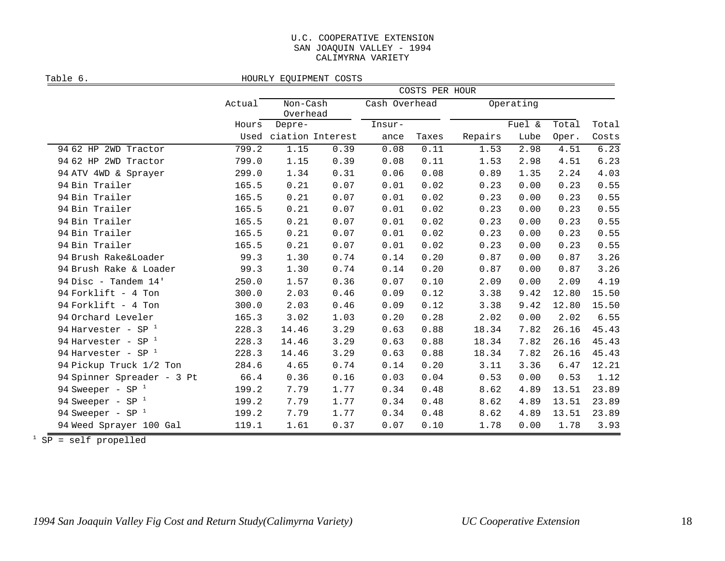#### U.C. COOPERATIVE EXTENSION SAN JOAQUIN VALLEY - 1994 CALIMYRNA VARIETY

Table 6. Table 6.

|                            |        |                      |                       | COSTS PER HOUR |       |         |           |       |       |
|----------------------------|--------|----------------------|-----------------------|----------------|-------|---------|-----------|-------|-------|
|                            | Actual | Non-Cash<br>Overhead |                       | Cash Overhead  |       |         | Operating |       |       |
|                            | Hours  | Depre-               |                       | Insur-         |       |         | Fuel &    | Total | Total |
|                            |        |                      | Used ciation Interest | ance           | Taxes | Repairs | Lube      | Oper. | Costs |
| 94 62 HP 2WD Tractor       | 799.2  | 1.15                 | 0.39                  | 0.08           | 0.11  | 1.53    | 2.98      | 4.51  | 6.23  |
| 94 62 HP 2WD Tractor       | 799.0  | 1.15                 | 0.39                  | 0.08           | 0.11  | 1.53    | 2.98      | 4.51  | 6.23  |
| 94 ATV 4WD & Sprayer       | 299.0  | 1.34                 | 0.31                  | 0.06           | 0.08  | 0.89    | 1.35      | 2.24  | 4.03  |
| 94 Bin Trailer             | 165.5  | 0.21                 | 0.07                  | 0.01           | 0.02  | 0.23    | 0.00      | 0.23  | 0.55  |
| 94 Bin Trailer             | 165.5  | 0.21                 | 0.07                  | 0.01           | 0.02  | 0.23    | 0.00      | 0.23  | 0.55  |
| 94 Bin Trailer             | 165.5  | 0.21                 | 0.07                  | 0.01           | 0.02  | 0.23    | 0.00      | 0.23  | 0.55  |
| 94 Bin Trailer             | 165.5  | 0.21                 | 0.07                  | 0.01           | 0.02  | 0.23    | 0.00      | 0.23  | 0.55  |
| 94 Bin Trailer             | 165.5  | 0.21                 | 0.07                  | 0.01           | 0.02  | 0.23    | 0.00      | 0.23  | 0.55  |
| 94 Bin Trailer             | 165.5  | 0.21                 | 0.07                  | 0.01           | 0.02  | 0.23    | 0.00      | 0.23  | 0.55  |
| 94 Brush Rake&Loader       | 99.3   | 1.30                 | 0.74                  | 0.14           | 0.20  | 0.87    | 0.00      | 0.87  | 3.26  |
| 94 Brush Rake & Loader     | 99.3   | 1.30                 | 0.74                  | 0.14           | 0.20  | 0.87    | 0.00      | 0.87  | 3.26  |
| 94 Disc - Tandem 14'       | 250.0  | 1.57                 | 0.36                  | 0.07           | 0.10  | 2.09    | 0.00      | 2.09  | 4.19  |
| 94 Forklift - 4 Ton        | 300.0  | 2.03                 | 0.46                  | 0.09           | 0.12  | 3.38    | 9.42      | 12.80 | 15.50 |
| 94 Forklift - 4 Ton        | 300.0  | 2.03                 | 0.46                  | 0.09           | 0.12  | 3.38    | 9.42      | 12.80 | 15.50 |
| 94 Orchard Leveler         | 165.3  | 3.02                 | 1.03                  | 0.20           | 0.28  | 2.02    | 0.00      | 2.02  | 6.55  |
| 94 Harvester - SP $1$      | 228.3  | 14.46                | 3.29                  | 0.63           | 0.88  | 18.34   | 7.82      | 26.16 | 45.43 |
| 94 Harvester - SP $1$      | 228.3  | 14.46                | 3.29                  | 0.63           | 0.88  | 18.34   | 7.82      | 26.16 | 45.43 |
| 94 Harvester - SP $1$      | 228.3  | 14.46                | 3.29                  | 0.63           | 0.88  | 18.34   | 7.82      | 26.16 | 45.43 |
| 94 Pickup Truck 1/2 Ton    | 284.6  | 4.65                 | 0.74                  | 0.14           | 0.20  | 3.11    | 3.36      | 6.47  | 12.21 |
| 94 Spinner Spreader - 3 Pt | 66.4   | 0.36                 | 0.16                  | 0.03           | 0.04  | 0.53    | 0.00      | 0.53  | 1.12  |
| 94 Sweeper - SP $1$        | 199.2  | 7.79                 | 1.77                  | 0.34           | 0.48  | 8.62    | 4.89      | 13.51 | 23.89 |
| 94 Sweeper - SP $1$        | 199.2  | 7.79                 | 1.77                  | 0.34           | 0.48  | 8.62    | 4.89      | 13.51 | 23.89 |
| 94 Sweeper - SP $1$        | 199.2  | 7.79                 | 1.77                  | 0.34           | 0.48  | 8.62    | 4.89      | 13.51 | 23.89 |
| 94 Weed Sprayer 100 Gal    | 119.1  | 1.61                 | 0.37                  | 0.07           | 0.10  | 1.78    | 0.00      | 1.78  | 3.93  |

SP = self propelled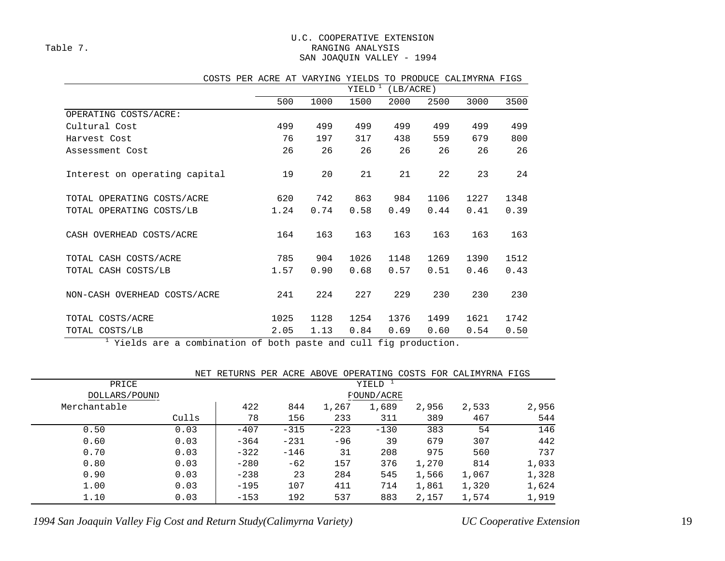#### U.C. COOPERATIVE EXTENSION Table 7. Table 7. SAN JOAQUIN VALLEY - 1994

|                               | YIELD <sup>1</sup><br>(LB/ACRE) |      |      |      |      |      |      |  |
|-------------------------------|---------------------------------|------|------|------|------|------|------|--|
|                               | 500                             | 1000 | 1500 | 2000 | 2500 | 3000 | 3500 |  |
| OPERATING COSTS/ACRE:         |                                 |      |      |      |      |      |      |  |
| Cultural Cost                 | 499                             | 499  | 499  | 499  | 499  | 499  | 499  |  |
| Harvest Cost                  | 76                              | 197  | 317  | 438  | 559  | 679  | 800  |  |
| Assessment Cost               | 26                              | 26   | 26   | 26   | 26   | 26   | 26   |  |
| Interest on operating capital | 19                              | 20   | 21   | 21   | 22   | 23   | 24   |  |
| TOTAL OPERATING COSTS/ACRE    | 620                             | 742  | 863  | 984  | 1106 | 1227 | 1348 |  |
| TOTAL OPERATING COSTS/LB      | 1.24                            | 0.74 | 0.58 | 0.49 | 0.44 | 0.41 | 0.39 |  |
| CASH OVERHEAD COSTS/ACRE      | 164                             | 163  | 163  | 163  | 163  | 163  | 163  |  |
| TOTAL CASH COSTS/ACRE         | 785                             | 904  | 1026 | 1148 | 1269 | 1390 | 1512 |  |
| TOTAL CASH COSTS/LB           | 1.57                            | 0.90 | 0.68 | 0.57 | 0.51 | 0.46 | 0.43 |  |
| NON-CASH OVERHEAD COSTS/ACRE  | 241                             | 224  | 227  | 229  | 230  | 230  | 230  |  |
| TOTAL COSTS/ACRE              | 1025                            | 1128 | 1254 | 1376 | 1499 | 1621 | 1742 |  |
| TOTAL COSTS/LB                | 2.05                            | 1.13 | 0.84 | 0.69 | 0.60 | 0.54 | 0.50 |  |

#### COSTS PER ACRE AT VARYING YIELDS TO PRODUCE CALIMYRNA FIGS

<sup>1</sup> Yields are a combination of both paste and cull fig production.

|               | NET   | RETURNS           |  |        | PER ACRE ABOVE | OPERATING          |  |       | COSTS FOR CALIMYRNA FIGS |       |
|---------------|-------|-------------------|--|--------|----------------|--------------------|--|-------|--------------------------|-------|
| PRICE         |       |                   |  |        |                | YIELD <sup>1</sup> |  |       |                          |       |
| DOLLARS/POUND |       | <b>FOUND/ACRE</b> |  |        |                |                    |  |       |                          |       |
| Merchantable  |       | 422               |  | 844    | 1,267          | 1,689              |  | 2,956 | 2,533                    | 2,956 |
|               | Culls | 78                |  | 156    |                | 233<br>311         |  | 389   | 467                      | 544   |
| 0.50          | 0.03  | $-407$            |  | $-315$ | $-223$         | $-130$             |  | 383   | 54                       | 146   |
| 0.60          | 0.03  | $-364$            |  | $-231$ |                | 39<br>$-96$        |  | 679   | 307                      | 442   |
| 0.70          | 0.03  | $-322$            |  | $-146$ |                | 31<br>208          |  | 975   | 560                      | 737   |
| 0.80          | 0.03  | $-280$            |  | $-62$  |                | 157<br>376         |  | 1,270 | 814                      | 1,033 |
| 0.90          | 0.03  | $-238$            |  | 23     |                | 284<br>545         |  | 1,566 | 1,067                    | 1,328 |
| 1.00          | 0.03  | $-195$            |  | 107    |                | 411<br>714         |  | 1,861 | 1,320                    | 1,624 |
| 1.10          | 0.03  | $-153$            |  | 192    |                | 537<br>883         |  | 2,157 | 1,574                    | 1,919 |